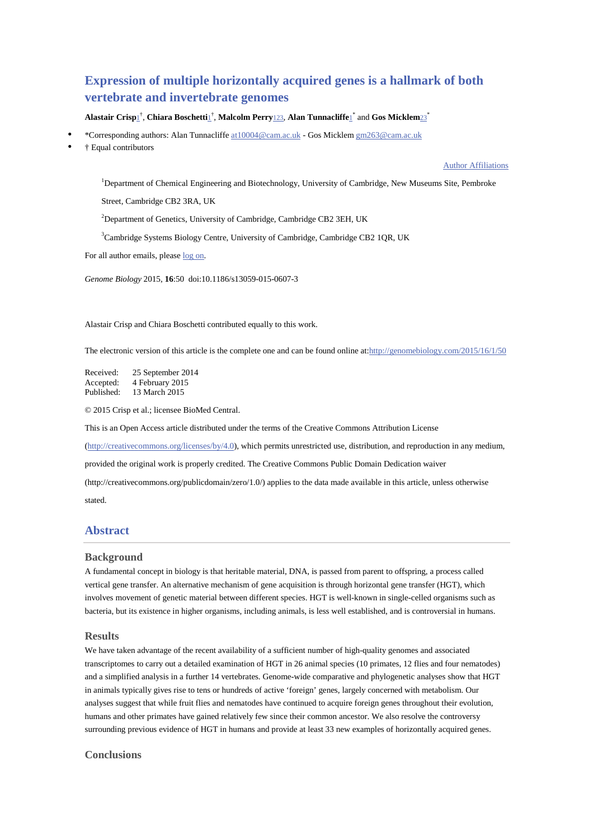# **Expression of multiple horizontally acquired genes is a hallmark of both vertebrate and invertebrate genomes**

### $A$ lastair Crisp $1^{\dagger}$ , Chiara Boschetti $1^{\dagger}$ , Malcolm Perry<u>123</u>, Alan Tunnacliffe $1^*$  and Gos Micklem $23^*$

- \*Corresponding authors: Alan Tunnacliffe at10004@cam.ac.uk Gos Micklem gm263@cam.ac.uk
- † Equal contributors

#### Author Affiliations

<sup>1</sup>Department of Chemical Engineering and Biotechnology, University of Cambridge, New Museums Site, Pembroke

Street, Cambridge CB2 3RA, UK

<sup>2</sup>Department of Genetics, University of Cambridge, Cambridge CB2 3EH, UK

<sup>3</sup>Cambridge Systems Biology Centre, University of Cambridge, Cambridge CB2 1QR, UK

For all author emails, please log on.

*Genome Biology* 2015, **16**:50 doi:10.1186/s13059-015-0607-3

Alastair Crisp and Chiara Boschetti contributed equally to this work.

The electronic version of this article is the complete one and can be found online at:http://genomebiology.com/2015/16/1/50

| Received:  | 25 September 2014 |
|------------|-------------------|
| Accepted:  | 4 February 2015   |
| Published: | 13 March 2015     |

© 2015 Crisp et al.; licensee BioMed Central.

This is an Open Access article distributed under the terms of the Creative Commons Attribution License

(http://creativecommons.org/licenses/by/4.0), which permits unrestricted use, distribution, and reproduction in any medium,

provided the original work is properly credited. The Creative Commons Public Domain Dedication waiver

(http://creativecommons.org/publicdomain/zero/1.0/) applies to the data made available in this article, unless otherwise stated.

# **Abstract**

#### **Background**

A fundamental concept in biology is that heritable material, DNA, is passed from parent to offspring, a process called vertical gene transfer. An alternative mechanism of gene acquisition is through horizontal gene transfer (HGT), which involves movement of genetic material between different species. HGT is well-known in single-celled organisms such as bacteria, but its existence in higher organisms, including animals, is less well established, and is controversial in humans.

### **Results**

We have taken advantage of the recent availability of a sufficient number of high-quality genomes and associated transcriptomes to carry out a detailed examination of HGT in 26 animal species (10 primates, 12 flies and four nematodes) and a simplified analysis in a further 14 vertebrates. Genome-wide comparative and phylogenetic analyses show that HGT in animals typically gives rise to tens or hundreds of active 'foreign' genes, largely concerned with metabolism. Our analyses suggest that while fruit flies and nematodes have continued to acquire foreign genes throughout their evolution, humans and other primates have gained relatively few since their common ancestor. We also resolve the controversy surrounding previous evidence of HGT in humans and provide at least 33 new examples of horizontally acquired genes.

#### **Conclusions**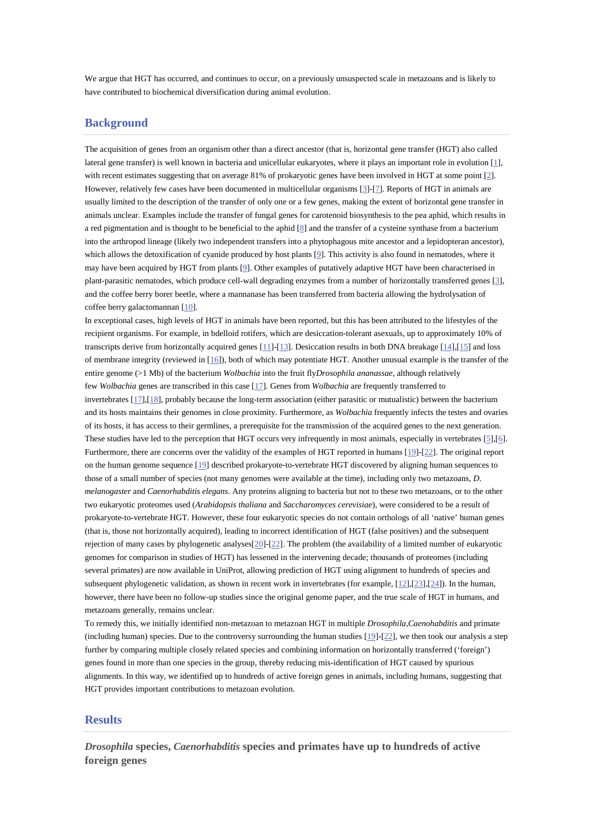We argue that HGT has occurred, and continues to occur, on a previously unsuspected scale in metazoans and is likely to have contributed to biochemical diversification during animal evolution.

## **Background**

The acquisition of genes from an organism other than a direct ancestor (that is, horizontal gene transfer (HGT) also called lateral gene transfer) is well known in bacteria and unicellular eukaryotes, where it plays an important role in evolution [1], with recent estimates suggesting that on average 81% of prokaryotic genes have been involved in HGT at some point [2]. However, relatively few cases have been documented in multicellular organisms [3]-[7]. Reports of HGT in animals are usually limited to the description of the transfer of only one or a few genes, making the extent of horizontal gene transfer in animals unclear. Examples include the transfer of fungal genes for carotenoid biosynthesis to the pea aphid, which results in a red pigmentation and is thought to be beneficial to the aphid [8] and the transfer of a cysteine synthase from a bacterium into the arthropod lineage (likely two independent transfers into a phytophagous mite ancestor and a lepidopteran ancestor), which allows the detoxification of cyanide produced by host plants [9]. This activity is also found in nematodes, where it may have been acquired by HGT from plants [9]. Other examples of putatively adaptive HGT have been characterised in plant-parasitic nematodes, which produce cell-wall degrading enzymes from a number of horizontally transferred genes [3], and the coffee berry borer beetle, where a mannanase has been transferred from bacteria allowing the hydrolysation of coffee berry galactomannan [10].

In exceptional cases, high levels of HGT in animals have been reported, but this has been attributed to the lifestyles of the recipient organisms. For example, in bdelloid rotifers, which are desiccation-tolerant asexuals, up to approximately 10% of transcripts derive from horizontally acquired genes [11]-[13]. Desiccation results in both DNA breakage [14],[15] and loss of membrane integrity (reviewed in  $[16]$ ), both of which may potentiate HGT. Another unusual example is the transfer of the entire genome (>1 Mb) of the bacterium *Wolbachia* into the fruit fly*Drosophila ananassae*, although relatively few *Wolbachia* genes are transcribed in this case [17]. Genes from *Wolbachia* are frequently transferred to invertebrates [17],[18], probably because the long-term association (either parasitic or mutualistic) between the bacterium and its hosts maintains their genomes in close proximity. Furthermore, as *Wolbachia* frequently infects the testes and ovaries of its hosts, it has access to their germlines, a prerequisite for the transmission of the acquired genes to the next generation. These studies have led to the perception that HGT occurs very infrequently in most animals, especially in vertebrates [5],[6]. Furthermore, there are concerns over the validity of the examples of HGT reported in humans [19]-[22]. The original report on the human genome sequence [19] described prokaryote-to-vertebrate HGT discovered by aligning human sequences to those of a small number of species (not many genomes were available at the time), including only two metazoans, *D. melanogaster* and *Caenorhabditis elegans*. Any proteins aligning to bacteria but not to these two metazoans, or to the other two eukaryotic proteomes used (*Arabidopsis thaliana* and *Saccharomyces cerevisiae*), were considered to be a result of prokaryote-to-vertebrate HGT. However, these four eukaryotic species do not contain orthologs of all 'native' human genes (that is, those not horizontally acquired), leading to incorrect identification of HGT (false positives) and the subsequent rejection of many cases by phylogenetic analyses[20]-[22]. The problem (the availability of a limited number of eukaryotic genomes for comparison in studies of HGT) has lessened in the intervening decade; thousands of proteomes (including several primates) are now available in UniProt, allowing prediction of HGT using alignment to hundreds of species and subsequent phylogenetic validation, as shown in recent work in invertebrates (for example, [12],[23],[24]). In the human, however, there have been no follow-up studies since the original genome paper, and the true scale of HGT in humans, and metazoans generally, remains unclear.

To remedy this, we initially identified non-metazoan to metazoan HGT in multiple *Drosophila*,*Caenohabditis* and primate (including human) species. Due to the controversy surrounding the human studies  $[19]$ - $[22]$ , we then took our analysis a step further by comparing multiple closely related species and combining information on horizontally transferred ('foreign') genes found in more than one species in the group, thereby reducing mis-identification of HGT caused by spurious alignments. In this way, we identified up to hundreds of active foreign genes in animals, including humans, suggesting that HGT provides important contributions to metazoan evolution.

# **Results**

*Drosophila* **species,** *Caenorhabditis* **species and primates have up to hundreds of active foreign genes**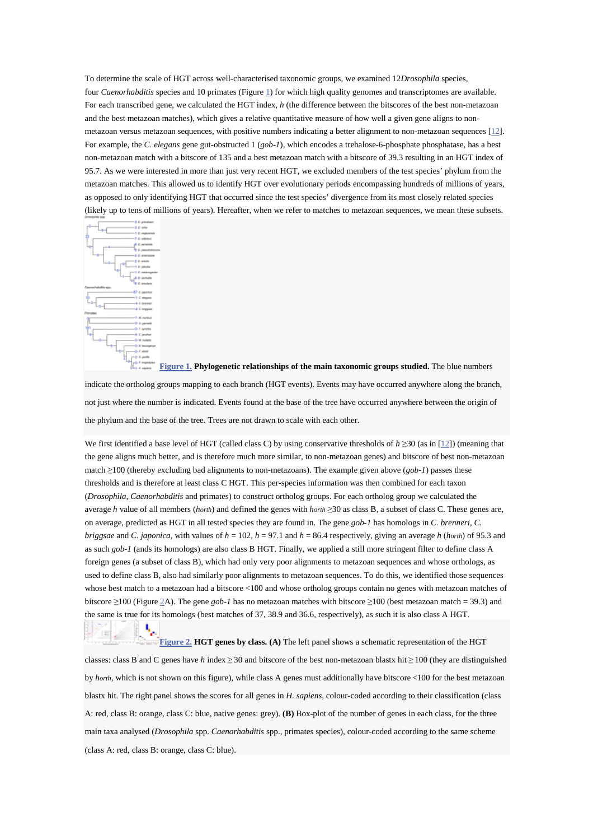To determine the scale of HGT across well-characterised taxonomic groups, we examined 12*Drosophila* species, four *Caenorhabditis* species and 10 primates (Figure 1) for which high quality genomes and transcriptomes are available. For each transcribed gene, we calculated the HGT index, *h* (the difference between the bitscores of the best non-metazoan and the best metazoan matches), which gives a relative quantitative measure of how well a given gene aligns to nonmetazoan versus metazoan sequences, with positive numbers indicating a better alignment to non-metazoan sequences [12]. For example, the *C. elegans* gene gut-obstructed 1 (*gob-1*), which encodes a trehalose-6-phosphate phosphatase, has a best non-metazoan match with a bitscore of 135 and a best metazoan match with a bitscore of 39.3 resulting in an HGT index of 95.7. As we were interested in more than just very recent HGT, we excluded members of the test species' phylum from the metazoan matches. This allowed us to identify HGT over evolutionary periods encompassing hundreds of millions of years, as opposed to only identifying HGT that occurred since the test species' divergence from its most closely related species (likely up to tens of millions of years). Hereafter, when we refer to matches to metazoan sequences, we mean these subsets.



199



not just where the number is indicated. Events found at the base of the tree have occurred anywhere between the origin of the phylum and the base of the tree. Trees are not drawn to scale with each other.

We first identified a base level of HGT (called class C) by using conservative thresholds of *h* ≥30 (as in [12]) (meaning that the gene aligns much better, and is therefore much more similar, to non-metazoan genes) and bitscore of best non-metazoan match ≥100 (thereby excluding bad alignments to non-metazoans). The example given above (*gob-1*) passes these thresholds and is therefore at least class C HGT. This per-species information was then combined for each taxon (*Drosophila*, *Caenorhabditis* and primates) to construct ortholog groups. For each ortholog group we calculated the average *h* value of all members (*horth*) and defined the genes with *horth* ≥30 as class B, a subset of class C. These genes are, on average, predicted as HGT in all tested species they are found in. The gene *gob-1* has homologs in *C. brenneri*, *C. briggsae* and *C. japonica*, with values of  $h = 102$ ,  $h = 97.1$  and  $h = 86.4$  respectively, giving an average  $h$  (*horth*) of 95.3 and as such *gob-1* (ands its homologs) are also class B HGT. Finally, we applied a still more stringent filter to define class A foreign genes (a subset of class B), which had only very poor alignments to metazoan sequences and whose orthologs, as used to define class B, also had similarly poor alignments to metazoan sequences. To do this, we identified those sequences whose best match to a metazoan had a bitscore <100 and whose ortholog groups contain no genes with metazoan matches of bitscore ≥100 (Figure 2A). The gene *gob-1* has no metazoan matches with bitscore ≥100 (best metazoan match = 39.3) and the same is true for its homologs (best matches of 37, 38.9 and 36.6, respectively), as such it is also class A HGT.

#### **Figure 2. HGT genes by class. (A)** The left panel shows a schematic representation of the HGT

classes: class B and C genes have *h* index ≥ 30 and bitscore of the best non-metazoan blastx hit ≥ 100 (they are distinguished by *horth*, which is not shown on this figure), while class A genes must additionally have bitscore <100 for the best metazoan blastx hit. The right panel shows the scores for all genes in *H. sapiens*, colour-coded according to their classification (class A: red, class B: orange, class C: blue, native genes: grey). **(B)** Box-plot of the number of genes in each class, for the three main taxa analysed (*Drosophila* spp. *Caenorhabditis* spp., primates species), colour-coded according to the same scheme (class A: red, class B: orange, class C: blue).